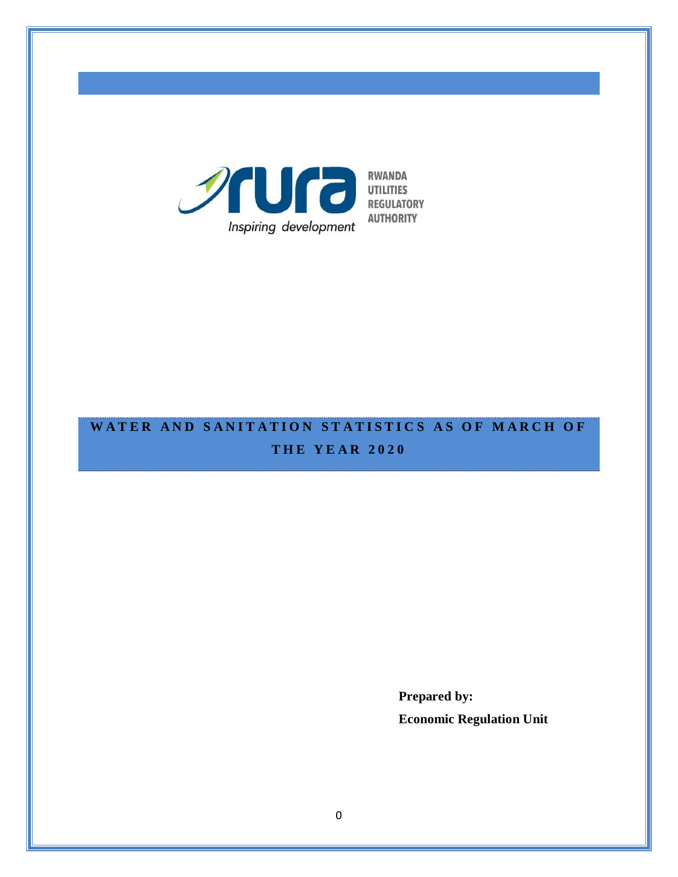

# WATER AND SANITATION STATISTICS AS OF MARCH OF **T H E Y E A R 2 0 2 0**

**Prepared by: Economic Regulation Unit**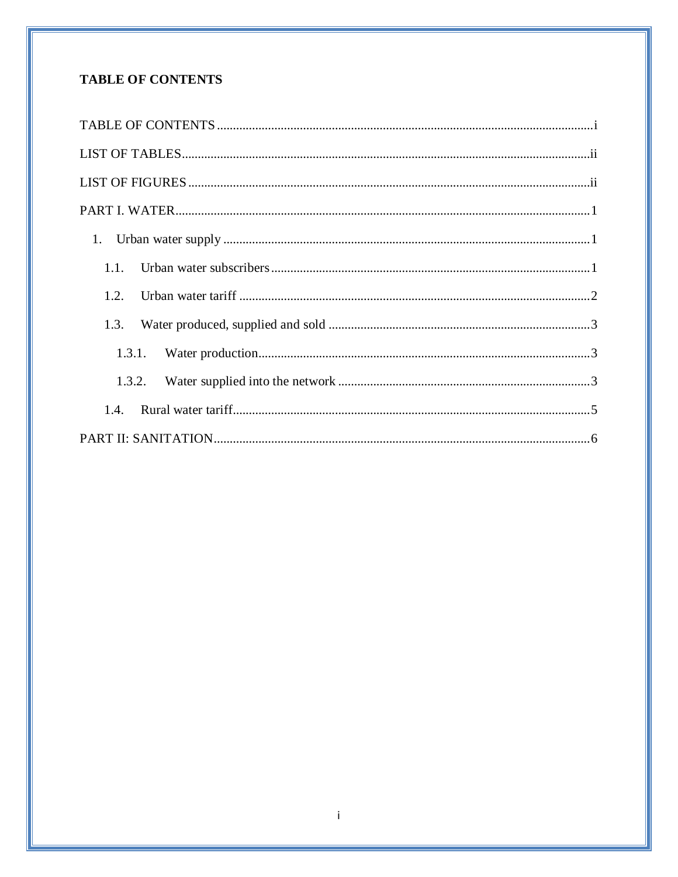# <span id="page-1-0"></span>**TABLE OF CONTENTS**

| 1.1.   |
|--------|
| 1.2.   |
| 1.3.   |
|        |
| 1.3.2. |
| 1.4    |
|        |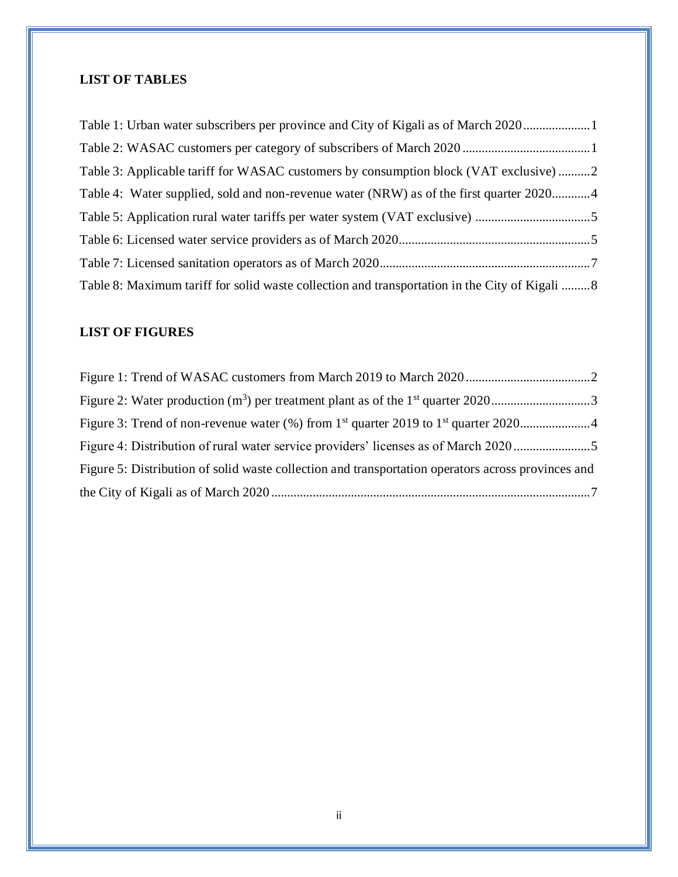# <span id="page-2-0"></span>**LIST OF TABLES**

| Table 1: Urban water subscribers per province and City of Kigali as of March 2020              |  |
|------------------------------------------------------------------------------------------------|--|
|                                                                                                |  |
| Table 3: Applicable tariff for WASAC customers by consumption block (VAT exclusive) 2          |  |
| Table 4: Water supplied, sold and non-revenue water (NRW) as of the first quarter 20204        |  |
|                                                                                                |  |
|                                                                                                |  |
|                                                                                                |  |
| Table 8: Maximum tariff for solid waste collection and transportation in the City of Kigali  8 |  |

# <span id="page-2-1"></span>**LIST OF FIGURES**

| Figure 2: Water production $(m^3)$ per treatment plant as of the 1 <sup>st</sup> quarter 20203     |  |
|----------------------------------------------------------------------------------------------------|--|
|                                                                                                    |  |
| Figure 4: Distribution of rural water service providers' licenses as of March 2020                 |  |
| Figure 5: Distribution of solid waste collection and transportation operators across provinces and |  |
|                                                                                                    |  |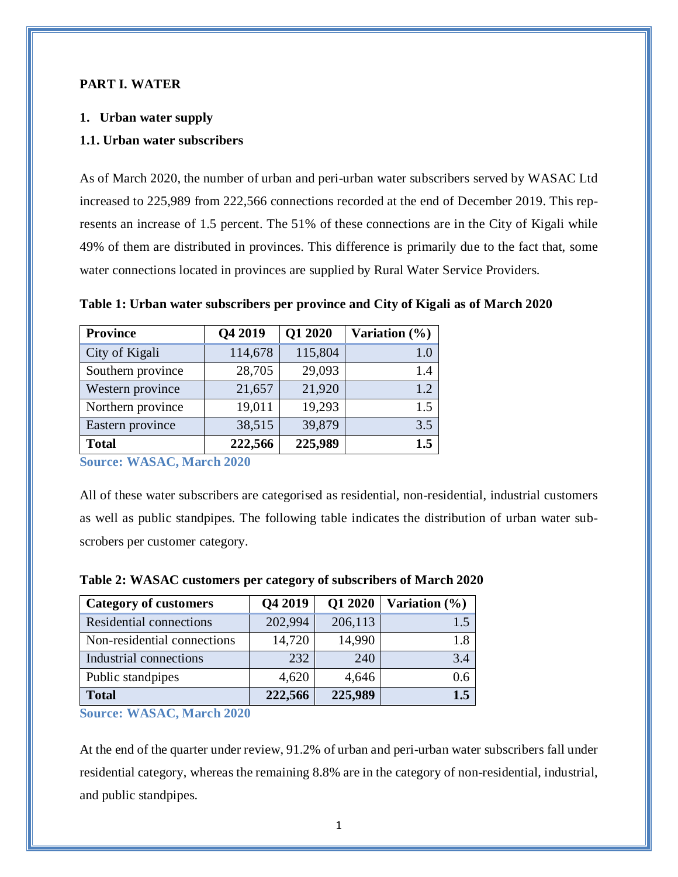#### <span id="page-3-0"></span>**PART I. WATER**

#### <span id="page-3-1"></span>**1. Urban water supply**

#### <span id="page-3-2"></span>**1.1. Urban water subscribers**

As of March 2020, the number of urban and peri-urban water subscribers served by WASAC Ltd increased to 225,989 from 222,566 connections recorded at the end of December 2019. This represents an increase of 1.5 percent. The 51% of these connections are in the City of Kigali while 49% of them are distributed in provinces. This difference is primarily due to the fact that, some water connections located in provinces are supplied by Rural Water Service Providers.

| <b>Province</b>   | Q4 2019 | Q1 2020 | Variation $(\% )$ |
|-------------------|---------|---------|-------------------|
| City of Kigali    | 114,678 | 115,804 | 1.0               |
| Southern province | 28,705  | 29,093  | 1.4               |
| Western province  | 21,657  | 21,920  | 1.2               |
| Northern province | 19,011  | 19,293  | 1.5               |
| Eastern province  | 38,515  | 39,879  | 3.5               |
| <b>Total</b>      | 222,566 | 225,989 | 1.5               |

<span id="page-3-3"></span>**Table 1: Urban water subscribers per province and City of Kigali as of March 2020**

**Source: WASAC, March 2020**

<span id="page-3-4"></span>All of these water subscribers are categorised as residential, non-residential, industrial customers as well as public standpipes. The following table indicates the distribution of urban water subscrobers per customer category.

| <b>Category of customers</b> | Q4 2019 | Q1 2020 | Variation $(\%)$ |
|------------------------------|---------|---------|------------------|
| Residential connections      | 202,994 | 206,113 | 1.5              |
| Non-residential connections  | 14,720  | 14,990  | 1.8              |
| Industrial connections       | 232     | 240     | 3.4              |
| Public standpipes            | 4,620   | 4,646   | 0.6              |
| <b>Total</b>                 | 222,566 | 225,989 | 1.5              |

**Table 2: WASAC customers per category of subscribers of March 2020**

**Source: WASAC, March 2020**

At the end of the quarter under review, 91.2% of urban and peri-urban water subscribers fall under residential category, whereas the remaining 8.8% are in the category of non-residential, industrial, and public standpipes.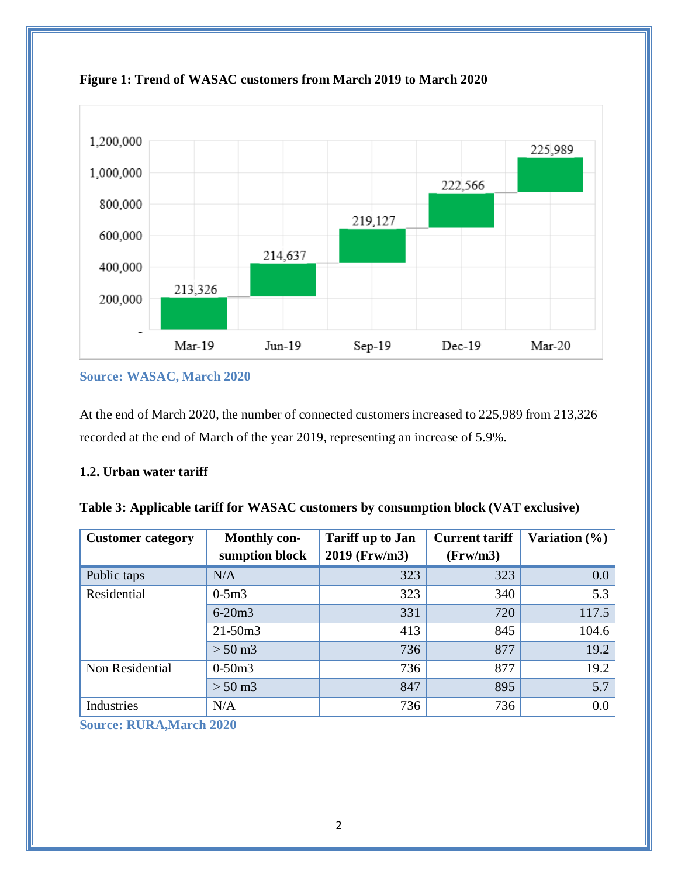

<span id="page-4-2"></span>**Figure 1: Trend of WASAC customers from March 2019 to March 2020**

**Source: WASAC, March 2020**

At the end of March 2020, the number of connected customers increased to 225,989 from 213,326 recorded at the end of March of the year 2019, representing an increase of 5.9%.

## <span id="page-4-0"></span>**1.2. Urban water tariff**

<span id="page-4-1"></span>

|  |  | Table 3: Applicable tariff for WASAC customers by consumption block (VAT exclusive) |
|--|--|-------------------------------------------------------------------------------------|
|--|--|-------------------------------------------------------------------------------------|

| <b>Customer category</b> | <b>Monthly con-</b><br>sumption block | <b>Tariff up to Jan</b><br>2019 (Frw/m3) | <b>Current tariff</b><br>(Frw/m3) | Variation $(\% )$ |
|--------------------------|---------------------------------------|------------------------------------------|-----------------------------------|-------------------|
| Public taps              | N/A                                   | 323                                      | 323                               | $0.0\,$           |
| Residential              | $0-5m3$                               | 323                                      | 340                               | 5.3               |
|                          | $6 - 20m3$                            | 331                                      | 720                               | 117.5             |
|                          | $21 - 50m3$                           | 413                                      | 845                               | 104.6             |
|                          | $> 50 \,\mathrm{m}$ 3                 | 736                                      | 877                               | 19.2              |
| Non Residential          | $0-50m3$                              | 736                                      | 877                               | 19.2              |
|                          | $> 50 \text{ m}$ 3                    | 847                                      | 895                               | 5.7               |
| Industries               | N/A                                   | 736                                      | 736                               | $0.0\,$           |

**Source: RURA,March 2020**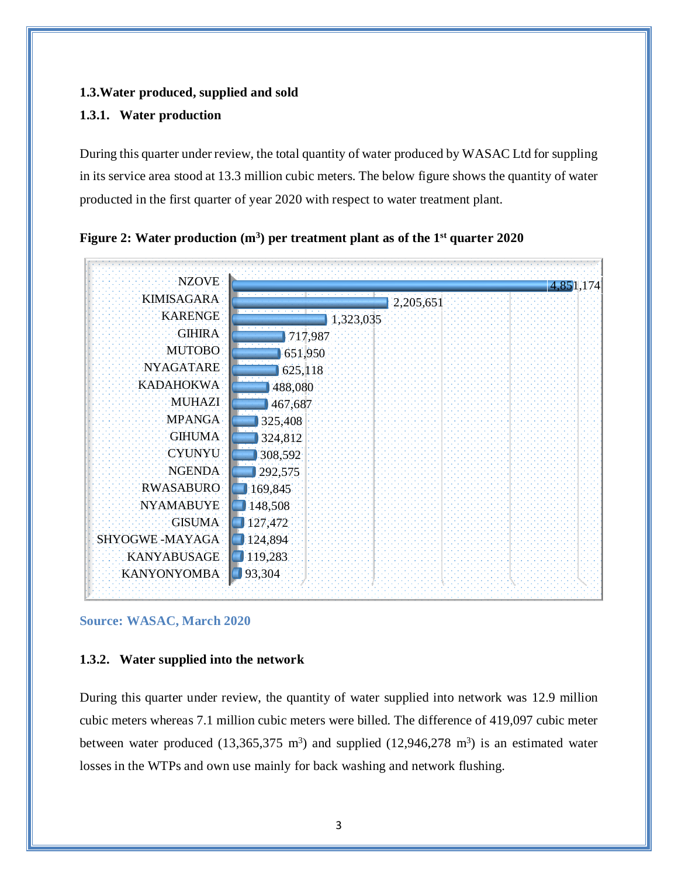#### <span id="page-5-0"></span>**1.3.Water produced, supplied and sold**

#### <span id="page-5-1"></span>**1.3.1. Water production**

During this quarter under review, the total quantity of water produced by WASAC Ltd for suppling in its service area stood at 13.3 million cubic meters. The below figure shows the quantity of water producted in the first quarter of year 2020 with respect to water treatment plant.



<span id="page-5-3"></span>

#### **Source: WASAC, March 2020**

#### <span id="page-5-2"></span>**1.3.2. Water supplied into the network**

During this quarter under review, the quantity of water supplied into network was 12.9 million cubic meters whereas 7.1 million cubic meters were billed. The difference of 419,097 cubic meter between water produced  $(13,365,375 \text{ m}^3)$  and supplied  $(12,946,278 \text{ m}^3)$  is an estimated water losses in the WTPs and own use mainly for back washing and network flushing.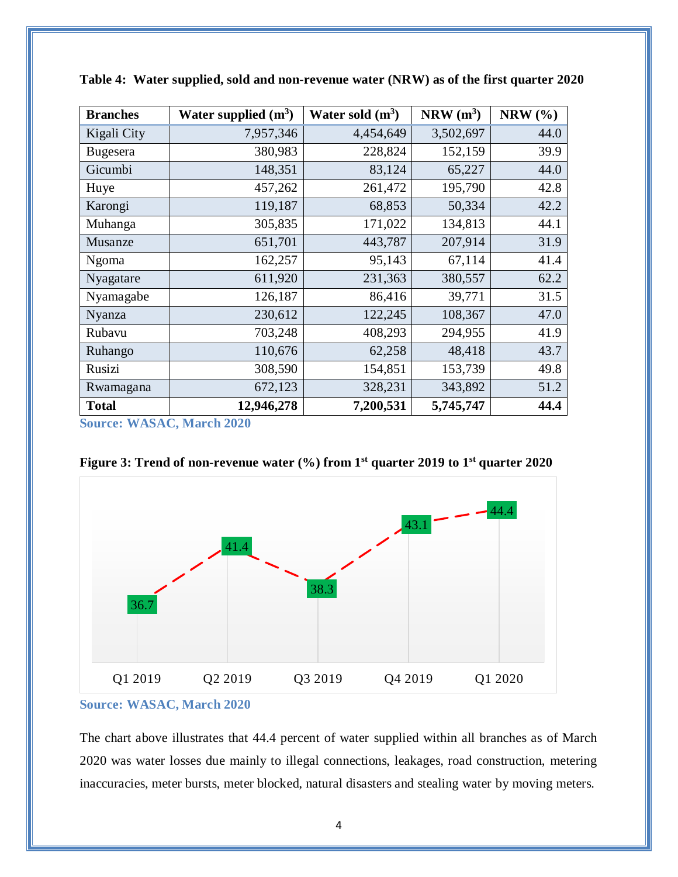| <b>Branches</b> | Water supplied $(m^3)$ | Water sold $(m^3)$ | $NRW(m^3)$ | NRW $(% )$ |
|-----------------|------------------------|--------------------|------------|------------|
| Kigali City     | 7,957,346              | 4,454,649          | 3,502,697  | 44.0       |
| <b>Bugesera</b> | 380,983                | 228,824            | 152,159    | 39.9       |
| Gicumbi         | 148,351                | 83,124             | 65,227     | 44.0       |
| Huye            | 457,262                | 261,472            | 195,790    | 42.8       |
| Karongi         | 119,187                | 68,853             | 50,334     | 42.2       |
| Muhanga         | 305,835                | 171,022            | 134,813    | 44.1       |
| Musanze         | 651,701                | 443,787            | 207,914    | 31.9       |
| <b>Ngoma</b>    | 162,257                | 95,143             | 67,114     | 41.4       |
| Nyagatare       | 611,920                | 231,363            | 380,557    | 62.2       |
| Nyamagabe       | 126,187                | 86,416             | 39,771     | 31.5       |
| Nyanza          | 230,612                | 122,245            | 108,367    | 47.0       |
| Rubavu          | 703,248                | 408,293            | 294,955    | 41.9       |
| Ruhango         | 110,676                | 62,258             | 48,418     | 43.7       |
| Rusizi          | 308,590                | 154,851            | 153,739    | 49.8       |
| Rwamagana       | 672,123                | 328,231            | 343,892    | 51.2       |
| <b>Total</b>    | 12,946,278             | 7,200,531          | 5,745,747  | 44.4       |

<span id="page-6-0"></span>**Table 4: Water supplied, sold and non-revenue water (NRW) as of the first quarter 2020**

**Source: WASAC, March 2020**

<span id="page-6-1"></span>



**Source: WASAC, March 2020**

The chart above illustrates that 44.4 percent of water supplied within all branches as of March 2020 was water losses due mainly to illegal connections, leakages, road construction, metering inaccuracies, meter bursts, meter blocked, natural disasters and stealing water by moving meters.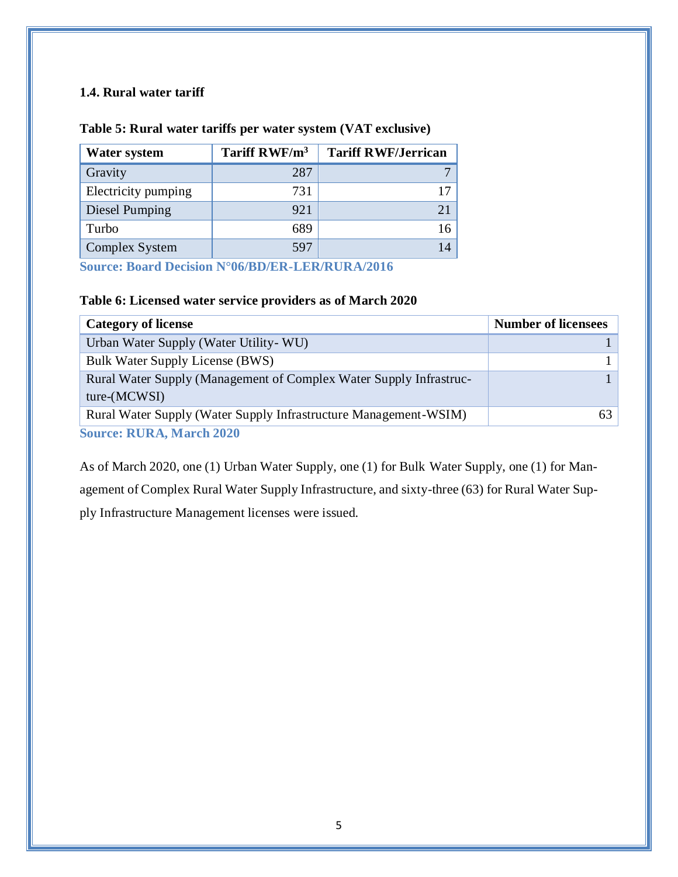# <span id="page-7-0"></span>**1.4. Rural water tariff**

| <b>Water system</b> | Tariff RWF/m <sup>3</sup> | <b>Tariff RWF/Jerrican</b> |
|---------------------|---------------------------|----------------------------|
| Gravity             | 287                       |                            |
| Electricity pumping | 731                       |                            |
| Diesel Pumping      | 921                       |                            |
| Turbo               | 689                       |                            |
| Complex System      | 597                       | 14                         |

## <span id="page-7-1"></span>**Table 5: Rural water tariffs per water system (VAT exclusive)**

**Source: Board Decision N°06/BD/ER-LER/RURA/2016**

# <span id="page-7-2"></span>**Table 6: Licensed water service providers as of March 2020**

| <b>Category of license</b>                                                           | <b>Number of licensees</b> |
|--------------------------------------------------------------------------------------|----------------------------|
| Urban Water Supply (Water Utility- WU)                                               |                            |
| <b>Bulk Water Supply License (BWS)</b>                                               |                            |
| Rural Water Supply (Management of Complex Water Supply Infrastruc-<br>$ture-(MCWSI)$ |                            |
| Rural Water Supply (Water Supply Infrastructure Management-WSIM)                     | 63                         |
| <b>Source: RURA, March 2020</b>                                                      |                            |

<span id="page-7-3"></span>As of March 2020, one (1) Urban Water Supply, one (1) for Bulk Water Supply, one (1) for Management of Complex Rural Water Supply Infrastructure, and sixty-three (63) for Rural Water Supply Infrastructure Management licenses were issued.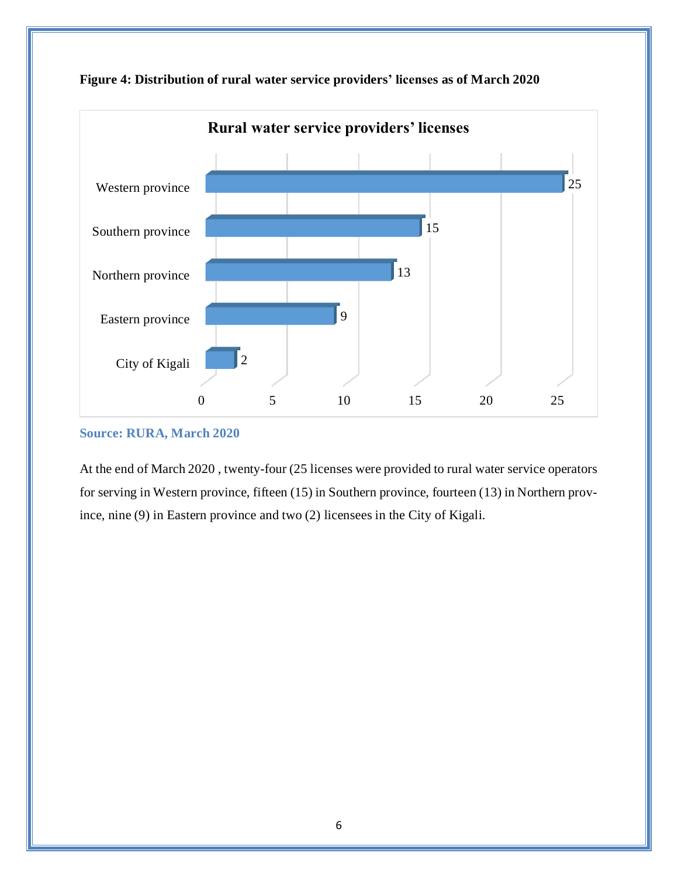

**Figure 4: Distribution of rural water service providers' licenses as of March 2020**

### **Source: RURA, March 2020**

<span id="page-8-0"></span>At the end of March 2020 , twenty-four (25 licenses were provided to rural water service operators for serving in Western province, fifteen (15) in Southern province, fourteen (13) in Northern province, nine (9) in Eastern province and two (2) licensees in the City of Kigali.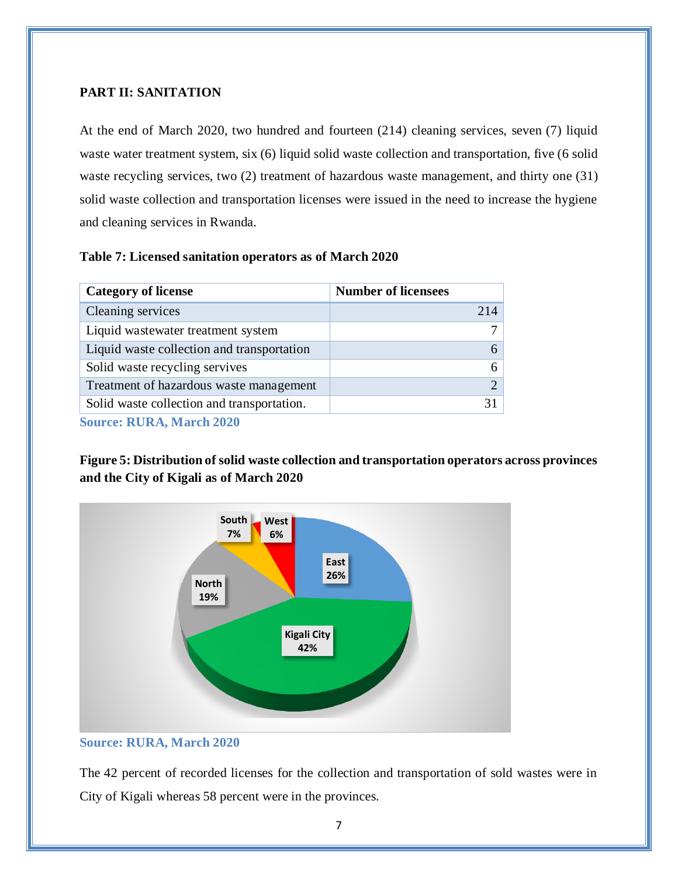# **PART II: SANITATION**

At the end of March 2020, two hundred and fourteen (214) cleaning services, seven (7) liquid waste water treatment system, six (6) liquid solid waste collection and transportation, five (6 solid waste recycling services, two (2) treatment of hazardous waste management, and thirty one (31) solid waste collection and transportation licenses were issued in the need to increase the hygiene and cleaning services in Rwanda.

#### <span id="page-9-0"></span>**Table 7: Licensed sanitation operators as of March 2020**

| <b>Category of license</b>                 | <b>Number of licensees</b> |
|--------------------------------------------|----------------------------|
| Cleaning services                          | 214                        |
| Liquid wastewater treatment system         | ⇁                          |
| Liquid waste collection and transportation | 6                          |
| Solid waste recycling servives             | 6                          |
| Treatment of hazardous waste management    | $\overline{2}$             |
| Solid waste collection and transportation. | 31                         |
| <b>Source: RURA, March 2020</b>            |                            |

<span id="page-9-1"></span>**Figure 5: Distribution of solid waste collection and transportation operators across provinces and the City of Kigali as of March 2020**



#### **Source: RURA, March 2020**

The 42 percent of recorded licenses for the collection and transportation of sold wastes were in City of Kigali whereas 58 percent were in the provinces.